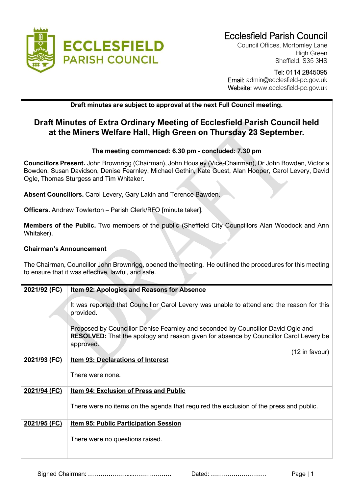

Council Offices, Mortomley Lane High Green Sheffield, S35 3HS

 Tel: 0114 2845095 Email: admin@ecclesfield-pc.gov.uk Website: www.ecclesfield-pc.gov.uk

## **Draft minutes are subject to approval at the next Full Council meeting.**

## **Draft Minutes of Extra Ordinary Meeting of Ecclesfield Parish Council held at the Miners Welfare Hall, High Green on Thursday 23 September.**

## **The meeting commenced: 6.30 pm - concluded: 7.30 pm**

**Councillors Present.** John Brownrigg (Chairman), John Housley (Vice-Chairman), Dr John Bowden, Victoria Bowden, Susan Davidson, Denise Fearnley, Michael Gethin, Kate Guest, Alan Hooper, Carol Levery, David Ogle, Thomas Sturgess and Tim Whitaker.

**Absent Councillors.** Carol Levery, Gary Lakin and Terence Bawden.

**Officers.** Andrew Towlerton – Parish Clerk/RFO [minute taker].

**Members of the Public.** Two members of the public (Sheffield City Councillors Alan Woodock and Ann Whitaker).

## **Chairman's Announcement**

The Chairman, Councillor John Brownrigg, opened the meeting. He outlined the procedures for this meeting to ensure that it was effective, lawful, and safe.

| <b>Item 92: Apologies and Reasons for Absence</b>                                                                                                                                             |
|-----------------------------------------------------------------------------------------------------------------------------------------------------------------------------------------------|
| It was reported that Councillor Carol Levery was unable to attend and the reason for this<br>provided.                                                                                        |
| Proposed by Councillor Denise Fearnley and seconded by Councillor David Ogle and<br><b>RESOLVED:</b> That the apology and reason given for absence by Councillor Carol Levery be<br>approved. |
| (12 in favour)                                                                                                                                                                                |
| <b>Item 93: Declarations of Interest</b>                                                                                                                                                      |
| There were none.                                                                                                                                                                              |
| <b>Item 94: Exclusion of Press and Public</b>                                                                                                                                                 |
| There were no items on the agenda that required the exclusion of the press and public.                                                                                                        |
| <u>Item 95: Public Participation Session</u>                                                                                                                                                  |
| There were no questions raised.                                                                                                                                                               |
|                                                                                                                                                                                               |

Signed Chairman: ……………….....………………. Dated: ……………………… Page | 1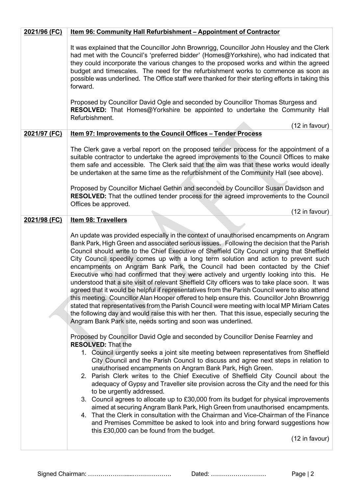| 2021/96 (FC) | Item 96: Community Hall Refurbishment - Appointment of Contractor                                                                                                                                                                                                                                                                                                                                                                                                                                                                                                                                                                                                                                                                                                                                                                                                                                                                                                                                                                                                                                                           |
|--------------|-----------------------------------------------------------------------------------------------------------------------------------------------------------------------------------------------------------------------------------------------------------------------------------------------------------------------------------------------------------------------------------------------------------------------------------------------------------------------------------------------------------------------------------------------------------------------------------------------------------------------------------------------------------------------------------------------------------------------------------------------------------------------------------------------------------------------------------------------------------------------------------------------------------------------------------------------------------------------------------------------------------------------------------------------------------------------------------------------------------------------------|
|              | It was explained that the Councillor John Brownrigg, Councillor John Housley and the Clerk<br>had met with the Council's 'preferred bidder' (Homes@Yorkshire), who had indicated that<br>they could incorporate the various changes to the proposed works and within the agreed<br>budget and timescales. The need for the refurbishment works to commence as soon as<br>possible was underlined. The Office staff were thanked for their sterling efforts in taking this<br>forward.                                                                                                                                                                                                                                                                                                                                                                                                                                                                                                                                                                                                                                       |
|              | Proposed by Councillor David Ogle and seconded by Councillor Thomas Sturgess and<br>RESOLVED: That Homes@Yorkshire be appointed to undertake the Community Hall<br>Refurbishment.                                                                                                                                                                                                                                                                                                                                                                                                                                                                                                                                                                                                                                                                                                                                                                                                                                                                                                                                           |
| 2021/97 (FC) | (12 in favour)<br><u>Item 97: Improvements to the Council Offices - Tender Process</u>                                                                                                                                                                                                                                                                                                                                                                                                                                                                                                                                                                                                                                                                                                                                                                                                                                                                                                                                                                                                                                      |
|              | The Clerk gave a verbal report on the proposed tender process for the appointment of a<br>suitable contractor to undertake the agreed improvements to the Council Offices to make<br>them safe and accessible. The Clerk said that the aim was that these works would ideally<br>be undertaken at the same time as the refurbishment of the Community Hall (see above).                                                                                                                                                                                                                                                                                                                                                                                                                                                                                                                                                                                                                                                                                                                                                     |
|              | Proposed by Councillor Michael Gethin and seconded by Councillor Susan Davidson and<br><b>RESOLVED:</b> That the outlined tender process for the agreed improvements to the Council<br>Offices be approved.                                                                                                                                                                                                                                                                                                                                                                                                                                                                                                                                                                                                                                                                                                                                                                                                                                                                                                                 |
| 2021/98 (FC) | (12 in favour)<br><b>Item 98: Travellers</b>                                                                                                                                                                                                                                                                                                                                                                                                                                                                                                                                                                                                                                                                                                                                                                                                                                                                                                                                                                                                                                                                                |
|              |                                                                                                                                                                                                                                                                                                                                                                                                                                                                                                                                                                                                                                                                                                                                                                                                                                                                                                                                                                                                                                                                                                                             |
|              | An update was provided especially in the context of unauthorised encampments on Angram<br>Bank Park, High Green and associated serious issues. Following the decision that the Parish<br>Council should write to the Chief Executive of Sheffield City Council urging that Sheffield<br>City Council speedily comes up with a long term solution and action to prevent such<br>encampments on Angram Bank Park, the Council had been contacted by the Chief<br>Executive who had confirmed that they were actively and urgently looking into this. He<br>understood that a site visit of relevant Sheffield City officers was to take place soon. It was<br>agreed that it would be helpful if representatives from the Parish Council were to also attend<br>this meeting. Councillor Alan Hooper offered to help ensure this. Councillor John Brownrigg<br>stated that representatives from the Parish Council were meeting with local MP Miriam Cates<br>the following day and would raise this with her then. That this issue, especially securing the<br>Angram Bank Park site, needs sorting and soon was underlined. |
|              | Proposed by Councillor David Ogle and seconded by Councillor Denise Fearnley and<br><b>RESOLVED: That the</b><br>1. Council urgently seeks a joint site meeting between representatives from Sheffield<br>City Council and the Parish Council to discuss and agree next steps in relation to<br>unauthorised encampments on Angram Bank Park, High Green.<br>2. Parish Clerk writes to the Chief Executive of Sheffield City Council about the<br>adequacy of Gypsy and Traveller site provision across the City and the need for this<br>to be urgently addressed.<br>3. Council agrees to allocate up to £30,000 from its budget for physical improvements<br>aimed at securing Angram Bank Park, High Green from unauthorised encampments.<br>4. That the Clerk in consultation with the Chairman and Vice-Chairman of the Finance<br>and Premises Committee be asked to look into and bring forward suggestions how                                                                                                                                                                                                     |
|              | this £30,000 can be found from the budget.<br>(12 in favour)                                                                                                                                                                                                                                                                                                                                                                                                                                                                                                                                                                                                                                                                                                                                                                                                                                                                                                                                                                                                                                                                |
|              |                                                                                                                                                                                                                                                                                                                                                                                                                                                                                                                                                                                                                                                                                                                                                                                                                                                                                                                                                                                                                                                                                                                             |